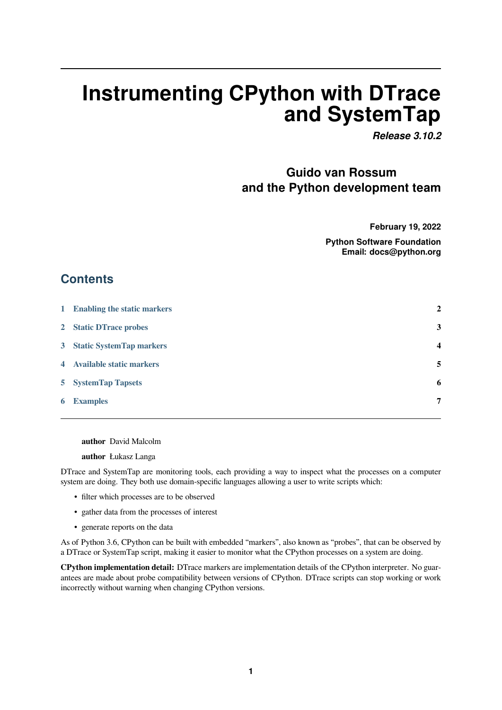# **Instrumenting CPython with DTrace and SystemTap**

*Release 3.10.2*

# **Guido van Rossum and the Python development team**

**February 19, 2022**

**Python Software Foundation Email: docs@python.org**

# **Contents**

| 1 Enabling the static markers | $\mathbf{2}$            |
|-------------------------------|-------------------------|
| 2 Static DTrace probes        | 3                       |
| 3 Static SystemTap markers    | $\overline{\mathbf{4}}$ |
| 4 Available static markers    | 5                       |
| <b>5</b> SystemTap Tapsets    | 6                       |
| <b>6</b> Examples             | 7                       |

**[author](#page-6-0)** David Malcolm

**author** Łukasz Langa

DTrace and SystemTap are monitoring tools, each providing a way to inspect what the processes on a computer system are doing. They both use domain-specific languages allowing a user to write scripts which:

- filter which processes are to be observed
- gather data from the processes of interest
- generate reports on the data

As of Python 3.6, CPython can be built with embedded "markers", also known as "probes", that can be observed by a DTrace or SystemTap script, making it easier to monitor what the CPython processes on a system are doing.

**CPython implementation detail:** DTrace markers are implementation details of the CPython interpreter. No guarantees are made about probe compatibility between versions of CPython. DTrace scripts can stop working or work incorrectly without warning when changing CPython versions.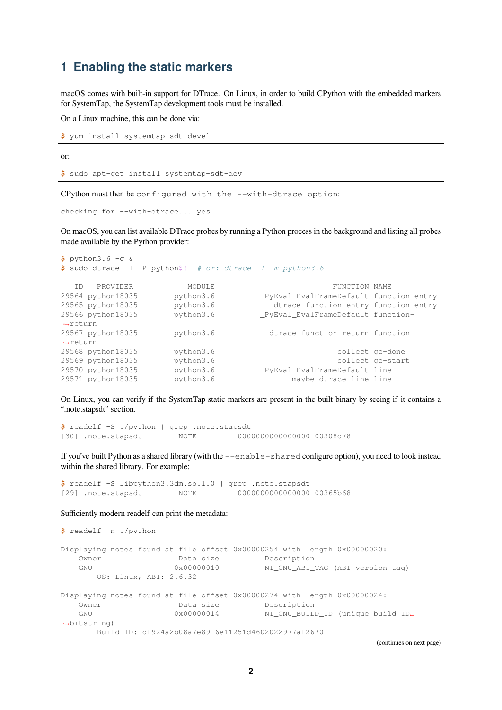### <span id="page-1-0"></span>**1 Enabling the static markers**

macOS comes with built-in support for DTrace. On Linux, in order to build CPython with the embedded markers for SystemTap, the SystemTap development tools must be installed.

On a Linux machine, this can be done via:

**\$** yum install systemtap-sdt-devel

or:

```
$ sudo apt-get install systemtap-sdt-dev
```
CPython must then be configured with the --with-dtrace option:

```
checking for --with-dtrace... yes
```
On macOS, you can list available DTrace probes by running a Python process in the background and listing all probes made available by the Python provider:

```
$ python3.6 -q &
$ sudo dtrace -l -P python$! # or: dtrace -l -m python3.6
ID PROVIDER MODULE TUNCTION NAME<br>29564 python18035 python3.6 __PyEval_EvalFrameDefault func
                      29564 python18035 python3.6 _PyEval_EvalFrameDefault function-entry
29565 python18035 python3.6 dtrace_function_entry function-entry
29566 python18035 python3.6 _PyEval_EvalFrameDefault function-
,→return
                      python3.6 dtrace_function_return function-
,→return
29568 python18035 python3.6 collect gc-done
29569 python18035 python3.6 collect gc-start
29570 python18035 python3.6 python2.0 python2.6 pyEval_EvalFrameDefault line<br>29571 python18035 python3.6 maybe_dtrace_line line
                                               maybe_dtrace_line line
```
On Linux, you can verify if the SystemTap static markers are present in the built binary by seeing if it contains a ".note.stapsdt" section.

```
$ readelf -S ./python | grep .note.stapsdt
[30] .note.stapsdt NOTE 0000000000000000 00308d78
```
If you've built Python as a shared library (with the --enable-shared configure option), you need to look instead within the shared library. For example:

```
$ readelf -S libpython3.3dm.so.1.0 | grep .note.stapsdt
[29] .note.stapsdt NOTE 0000000000000000 00365b68
```
Sufficiently modern readelf can print the metadata:

```
$ readelf -n ./python
Displaying notes found at file offset 0x00000254 with length 0x00000020:
   Owner Data size Description
   GNU 0x00000010 NT_GNU_ABI_TAG (ABI version tag)
      OS: Linux, ABI: 2.6.32
Displaying notes found at file offset 0x00000274 with length 0x00000024:
  Owner Data size Description
   GNU 0x00000014 NT_GNU_BUILD_ID (unique build ID␣
,→bitstring)
      Build ID: df924a2b08a7e89f6e11251d4602022977af2670
```
(continues on next page)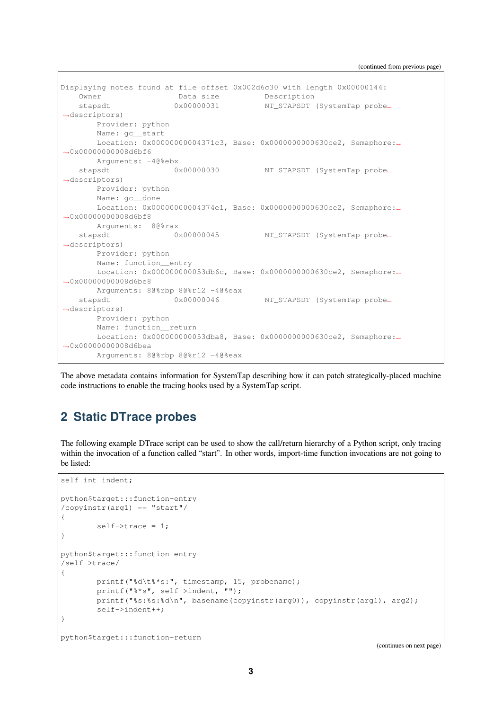(continued from previous page)

```
Displaying notes found at file offset 0x002d6c30 with length 0x00000144:
   Owner Data size Description
   stapsdt 0x00000031 NT_STAPSDT (SystemTap probe␣
,→descriptors)
      Provider: python
      Name: gc__start
      Location: 0x00000000004371c3, Base: 0x0000000000630ce2, Semaphore:␣
,→0x00000000008d6bf6
      Arguments: -4@sebxstapsdt 0x00000030 NT_STAPSDT (SystemTap probe␣
,→descriptors)
       Provider: python
      Name: gc__done
       Location: 0x00000000004374e1, Base: 0x0000000000630ce2, Semaphore:␣
,→0x00000000008d6bf8
      Arguments: -8@%rax
   stapsdt 0x00000045 NT_STAPSDT (SystemTap probe_
,→descriptors)
      Provider: python
      Name: function entry
      Location: 0x000000000053db6c, Base: 0x0000000000630ce2, Semaphore:␣
,→0x00000000008d6be8
      Arguments: 8@%rbp 8@%r12 -4@%eax
   stapsdt 0x00000046 NT_STAPSDT (SystemTap probe_
,→descriptors)
       Provider: python
       Name: function__return
       Location: 0x000000000053dba8, Base: 0x0000000000630ce2, Semaphore:␣
,→0x00000000008d6bea
       Arguments: 8@%rbp 8@%r12 -4@%eax
```
The above metadata contains information for SystemTap describing how it can patch strategically-placed machine code instructions to enable the tracing hooks used by a SystemTap script.

# <span id="page-2-0"></span>**2 Static DTrace probes**

The following example DTrace script can be used to show the call/return hierarchy of a Python script, only tracing within the invocation of a function called "start". In other words, import-time function invocations are not going to be listed:

```
self int indent;
python$target:::function-entry
/copyinstr(arg1) == "start"/
{
```

```
self->trace = 1;
}
python$target:::function-entry
/self->trace/
{
        printf("%d\t%*s:", timestamp, 15, probename);
        printf("%*s", self->indent, "");
        printf("%s:%s:%d\n", basename(copyinstr(arg0)), copyinstr(arg1), arg2);
        self->indent++;
}
```
python\$target:::function-return

(continues on next page)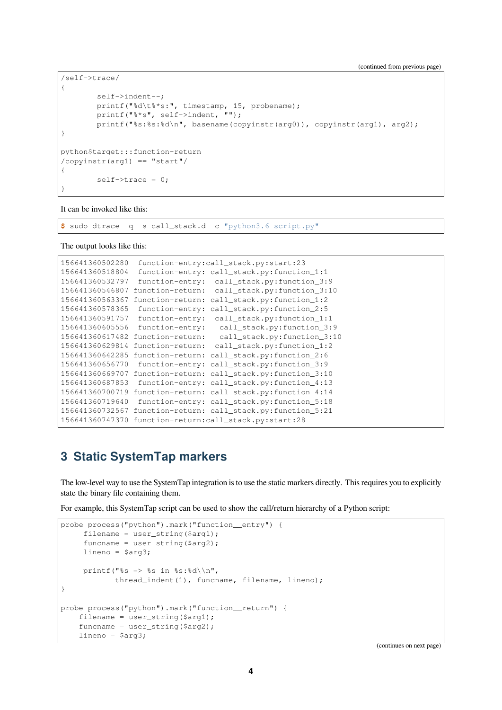```
/self->trace/
{
        self->indent--;
        printf("%d\t%*s:", timestamp, 15, probename);
        printf("%*s", self->indent, "");
        printf("%s:%s:%d\n", basename(copyinstr(arg0)), copyinstr(arg1), arg2);
}
python$target:::function-return
/copyinstr(arg1) == "start"/
{
        self->trace = 0;
}
```
It can be invoked like this:

**\$** sudo dtrace -q -s call\_stack.d -c "python3.6 script.py"

The output looks like this:

```
156641360502280 function-entry:call_stack.py:start:23
156641360518804 function-entry: call_stack.py:function_1:1
156641360532797 function-entry: call_stack.py:function_3:9
156641360546807 function-return: call_stack.py:function_3:10
156641360563367 function-return: call_stack.py:function_1:2
156641360578365 function-entry: call_stack.py:function_2:5
156641360591757 function-entry: call_stack.py:function_1:1
156641360605556 function-entry: call_stack.py:function_3:9
156641360617482 function-return: call_stack.py:function_3:10
156641360629814 function-return: call_stack.py:function_1:2
156641360642285 function-return: call_stack.py:function_2:6
156641360656770 function-entry: call_stack.py:function_3:9
156641360669707 function-return: call_stack.py:function_3:10
156641360687853 function-entry: call_stack.py:function_4:13
156641360700719 function-return: call_stack.py:function_4:14
156641360719640 function-entry: call_stack.py:function_5:18
156641360732567 function-return: call_stack.py:function_5:21
156641360747370 function-return:call_stack.py:start:28
```
### <span id="page-3-0"></span>**3 Static SystemTap markers**

The low-level way to use the SystemTap integration is to use the static markers directly. This requires you to explicitly state the binary file containing them.

For example, this SystemTap script can be used to show the call/return hierarchy of a Python script:

```
probe process("python").mark("function__entry") {
     filename = user_string($arg1);
     funcname = user_string($arg2);
    lineno = $arg3;
     printf("%s => %s in %s:%d\\n",
            thread_indent(1), funcname, filename, lineno);
}
probe process("python").mark("function__return") {
    filename = user_string($arg1);
    funcname = user_string(\frac{2}{3});
    lineno = $arg3;
```
(continues on next page)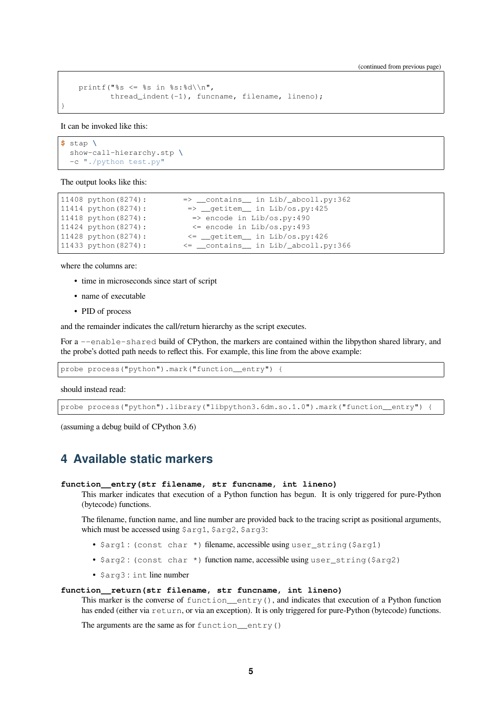```
printf("%s <= %s in %s:%d\\n",
       thread_indent(-1), funcname, filename, lineno);
```
It can be invoked like this:

}

```
$ stap \
  show-call-hierarchy.stp \
  -c "./python test.py"
```
The output looks like this:

```
11408 python(8274): \Rightarrow __contains__ in Lib/_abcoll.py:362
11414 python(8274): => __getitem__ in Lib/os.py:425
11418 python(8274): \Rightarrow encode in Lib/os.py:490
11424 python(8274): <= encode in Lib/os.py:493
11428 python(8274): <= __getitem__ in Lib/os.py:426
11433 python(8274): \langle = \_\_ \text{contains} \_\_ in Lib/_\_abcoll.py:366
```
where the columns are:

- time in microseconds since start of script
- name of executable
- PID of process

and the remainder indicates the call/return hierarchy as the script executes.

For a --enable-shared build of CPython, the markers are contained within the libpython shared library, and the probe's dotted path needs to reflect this. For example, this line from the above example:

probe process("python").mark("function\_entry") {

should instead read:

probe process("python").library("libpython3.6dm.so.1.0").mark("function\_entry")

(assuming a debug build of CPython 3.6)

### <span id="page-4-0"></span>**4 Available static markers**

#### **function\_\_entry(str filename, str funcname, int lineno)**

This marker indicates that execution of a Python function has begun. It is only triggered for pure-Python (bytecode) functions.

The filename, function name, and line number are provided back to the tracing script as positional arguments, which must be accessed using \$arg1, \$arg2, \$arg3:

- \$arg1 : (const char \*) filename, accessible using user\_string(\$arg1)
- \$arg2 : (const char \*) function name, accessible using user\_string(\$arg2)
- \$arg3 : int line number

#### **function\_\_return(str filename, str funcname, int lineno)**

This marker is the converse of function\_\_entry(), and indicates that execution of a Python function has ended (either via return, or via an exception). It is only triggered for pure-Python (bytecode) functions.

The arguments are the same as for function  $entrv()$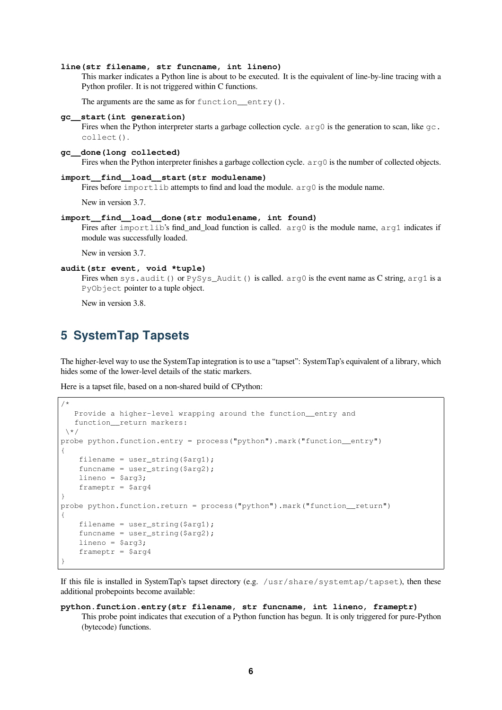#### **line(str filename, str funcname, int lineno)**

This marker indicates a Python line is about to be executed. It is the equivalent of line-by-line tracing with a Python profiler. It is not triggered within C functions.

The arguments are the same as for function  $entry()$ .

#### **gc\_\_start(int generation)**

Fires when the Python interpreter starts a garbage collection cycle.  $\arg \theta$  is the generation to scan, like  $\varphi c$ . collect().

#### **gc\_\_done(long collected)**

Fires when the Python interpreter finishes a garbage collection cycle. arg0 is the number of collected objects.

#### **import\_\_find\_\_load\_\_start(str modulename)**

Fires before importlib attempts to find and load the module.  $arg0$  is the module name.

New in version 3.7.

### **import\_\_find\_\_load\_\_done(str modulename, int found)**

Fires after importlib's find and load function is called.  $arg0$  is the module name,  $arg1$  indicates if module was successfully loaded.

New in version 3.7.

#### **audit(str event, void \*tuple)**

Fires when sys.audit() or PySys\_Audit() is called. arg0 is the event name as C string, arg1 is a PyObject pointer to a tuple object.

New in version 3.8.

## **5 SystemTap Tapsets**

The higher-level way to use the SystemTap integration is to use a "tapset": SystemTap's equivalent of a library, which hides some of the lower-level details of the static markers.

Here is a tapset file, based on a non-shared build of CPython:

```
/*
   Provide a higher-level wrapping around the function__entry and
   function__return markers:
 \backslash *probe python.function.entry = process("python").mark("function__entry")
{
    filename = user_string($arg1);
    funcname = user string($arg2);
    lineno = $arg3;
    frameptr = Sarq4}
probe python.function.return = process("python").mark("function__return")
{
    filename = user_string($arg1);
    funcname = user_string(\frac{2}{3}arg2);
    lineno = $arg3;frameptr = $arg4}
```
If this file is installed in SystemTap's tapset directory (e.g. /usr/share/systemtap/tapset), then these additional probepoints become available:

#### **python.function.entry(str filename, str funcname, int lineno, frameptr)** This probe point indicates that execution of a Python function has begun. It is only triggered for pure-Python (bytecode) functions.